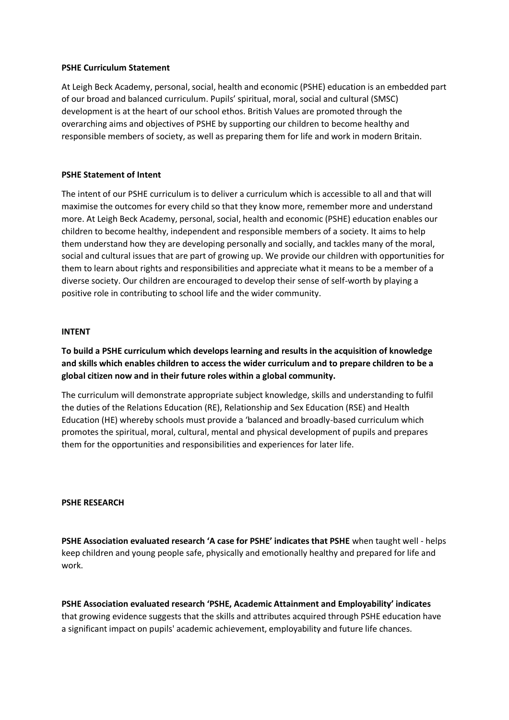#### **PSHE Curriculum Statement**

At Leigh Beck Academy, personal, social, health and economic (PSHE) education is an embedded part of our broad and balanced curriculum. Pupils' spiritual, moral, social and cultural (SMSC) development is at the heart of our school ethos. British Values are promoted through the overarching aims and objectives of PSHE by supporting our children to become healthy and responsible members of society, as well as preparing them for life and work in modern Britain.

### **PSHE Statement of Intent**

The intent of our PSHE curriculum is to deliver a curriculum which is accessible to all and that will maximise the outcomes for every child so that they know more, remember more and understand more. At Leigh Beck Academy, personal, social, health and economic (PSHE) education enables our children to become healthy, independent and responsible members of a society. It aims to help them understand how they are developing personally and socially, and tackles many of the moral, social and cultural issues that are part of growing up. We provide our children with opportunities for them to learn about rights and responsibilities and appreciate what it means to be a member of a diverse society. Our children are encouraged to develop their sense of self-worth by playing a positive role in contributing to school life and the wider community.

#### **INTENT**

**To build a PSHE curriculum which develops learning and results in the acquisition of knowledge and skills which enables children to access the wider curriculum and to prepare children to be a global citizen now and in their future roles within a global community.**

The curriculum will demonstrate appropriate subject knowledge, skills and understanding to fulfil the duties of the Relations Education (RE), Relationship and Sex Education (RSE) and Health Education (HE) whereby schools must provide a 'balanced and broadly-based curriculum which promotes the spiritual, moral, cultural, mental and physical development of pupils and prepares them for the opportunities and responsibilities and experiences for later life.

#### **PSHE RESEARCH**

**PSHE Association evaluated research 'A case for PSHE' indicates that PSHE** when taught well - helps keep children and young people safe, physically and emotionally healthy and prepared for life and work.

**PSHE Association evaluated research 'PSHE, Academic Attainment and Employability' indicates** that growing evidence suggests that the skills and attributes acquired through PSHE education have a significant impact on pupils' academic achievement, employability and future life chances.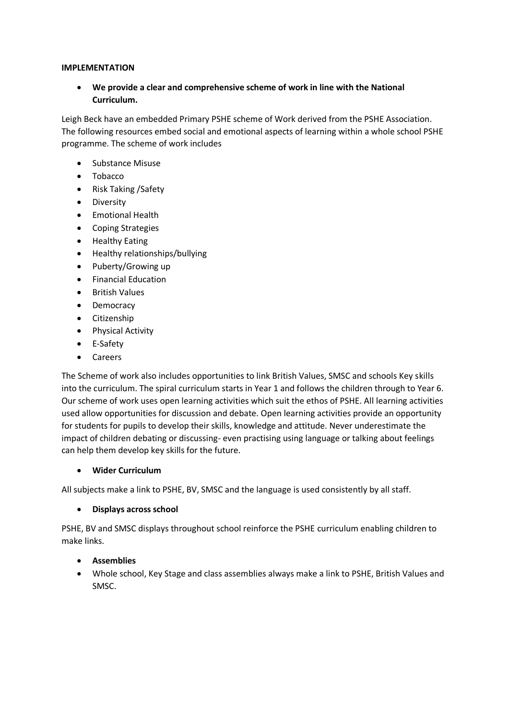### **IMPLEMENTATION**

 **We provide a clear and comprehensive scheme of work in line with the National Curriculum.**

Leigh Beck have an embedded Primary PSHE scheme of Work derived from the PSHE Association. The following resources embed social and emotional aspects of learning within a whole school PSHE programme. The scheme of work includes

- Substance Misuse
- Tobacco
- Risk Taking / Safety
- **•** Diversity
- Emotional Health
- Coping Strategies
- Healthy Eating
- Healthy relationships/bullying
- Puberty/Growing up
- Financial Education
- **•** British Values
- Democracy
- Citizenship
- Physical Activity
- E-Safety
- Careers

The Scheme of work also includes opportunities to link British Values, SMSC and schools Key skills into the curriculum. The spiral curriculum starts in Year 1 and follows the children through to Year 6. Our scheme of work uses open learning activities which suit the ethos of PSHE. All learning activities used allow opportunities for discussion and debate. Open learning activities provide an opportunity for students for pupils to develop their skills, knowledge and attitude. Never underestimate the impact of children debating or discussing- even practising using language or talking about feelings can help them develop key skills for the future.

## **Wider Curriculum**

All subjects make a link to PSHE, BV, SMSC and the language is used consistently by all staff.

## **Displays across school**

PSHE, BV and SMSC displays throughout school reinforce the PSHE curriculum enabling children to make links.

# **Assemblies**

 Whole school, Key Stage and class assemblies always make a link to PSHE, British Values and SMSC.